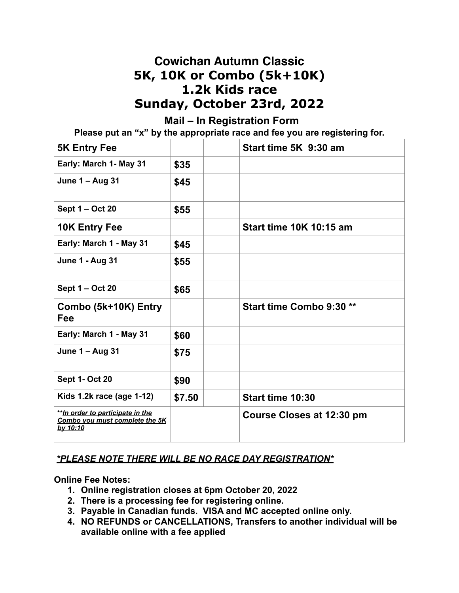## **Cowichan Autumn Classic 5K, 10K or Combo (5k+10K) 1.2k Kids race Sunday, October 23rd, 2022**

## **Mail – In Registration Form**

**Please put an "x" by the appropriate race and fee you are registering for.**

| <b>5K Entry Fee</b>                                                             |        | Start time 5K 9:30 am          |
|---------------------------------------------------------------------------------|--------|--------------------------------|
| Early: March 1- May 31                                                          | \$35   |                                |
| June 1 - Aug 31                                                                 | \$45   |                                |
| Sept 1 – Oct 20                                                                 | \$55   |                                |
| <b>10K Entry Fee</b>                                                            |        | <b>Start time 10K 10:15 am</b> |
| Early: March 1 - May 31                                                         | \$45   |                                |
| <b>June 1 - Aug 31</b>                                                          | \$55   |                                |
| Sept 1 – Oct 20                                                                 | \$65   |                                |
| Combo (5k+10K) Entry<br>Fee                                                     |        | Start time Combo 9:30 **       |
| Early: March 1 - May 31                                                         | \$60   |                                |
| <b>June 1 - Aug 31</b>                                                          | \$75   |                                |
| <b>Sept 1- Oct 20</b>                                                           | \$90   |                                |
| Kids 1.2k race (age 1-12)                                                       | \$7.50 | Start time 10:30               |
| ** In order to participate in the<br>Combo you must complete the 5K<br>by 10:10 |        | Course Closes at 12:30 pm      |

#### *\*PLEASE NOTE THERE WILL BE NO RACE DAY REGISTRATION\**

**Online Fee Notes:** 

- **1. Online registration closes at 6pm October 20, 2022**
- **2. There is a processing fee for registering online.**
- **3. Payable in Canadian funds. VISA and MC accepted online only.**
- **4. NO REFUNDS or CANCELLATIONS, Transfers to another individual will be available online with a fee applied**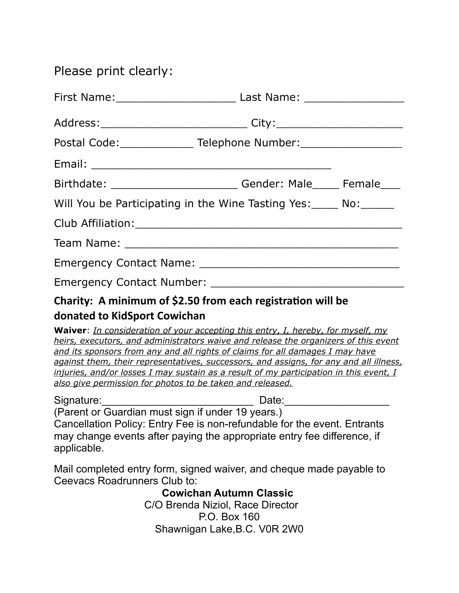# Please print clearly:

|                                                                  | First Name: ___________________________________ Last Name: _____________________                                                                                                                                                                                                                                                                                                                                                                    |  |
|------------------------------------------------------------------|-----------------------------------------------------------------------------------------------------------------------------------------------------------------------------------------------------------------------------------------------------------------------------------------------------------------------------------------------------------------------------------------------------------------------------------------------------|--|
|                                                                  |                                                                                                                                                                                                                                                                                                                                                                                                                                                     |  |
|                                                                  | Postal Code: _________________ Telephone Number: __________________________                                                                                                                                                                                                                                                                                                                                                                         |  |
|                                                                  |                                                                                                                                                                                                                                                                                                                                                                                                                                                     |  |
|                                                                  | Birthdate: _____________________________Gender: Male______ Female____                                                                                                                                                                                                                                                                                                                                                                               |  |
|                                                                  | Will You be Participating in the Wine Tasting Yes: _____ No: ______                                                                                                                                                                                                                                                                                                                                                                                 |  |
|                                                                  |                                                                                                                                                                                                                                                                                                                                                                                                                                                     |  |
|                                                                  |                                                                                                                                                                                                                                                                                                                                                                                                                                                     |  |
|                                                                  |                                                                                                                                                                                                                                                                                                                                                                                                                                                     |  |
|                                                                  |                                                                                                                                                                                                                                                                                                                                                                                                                                                     |  |
|                                                                  | Charity: A minimum of \$2.50 from each registration will be                                                                                                                                                                                                                                                                                                                                                                                         |  |
| donated to KidSport Cowichan                                     |                                                                                                                                                                                                                                                                                                                                                                                                                                                     |  |
| also give permission for photos to be taken and released.        | Waiver: <i>In consideration of your accepting this entry, I, hereby, for myself, my</i><br>heirs, executors, and administrators waive and release the organizers of this event<br>and its sponsors from any and all rights of claims for all damages I may have<br>against them, their representatives, successors, and assigns, for any and all illness,<br>injuries, and/or losses I may sustain as a result of my participation in this event, I |  |
| Signature:________________                                       | __________ Date:______________                                                                                                                                                                                                                                                                                                                                                                                                                      |  |
| (Parent or Guardian must sign if under 19 years.)<br>applicable. | Cancellation Policy: Entry Fee is non-refundable for the event. Entrants<br>may change events after paying the appropriate entry fee difference, if                                                                                                                                                                                                                                                                                                 |  |
| Ceevacs Roadrunners Club to:                                     | Mail completed entry form, signed waiver, and cheque made payable to                                                                                                                                                                                                                                                                                                                                                                                |  |
|                                                                  | <b>Cowichan Autumn Classic</b>                                                                                                                                                                                                                                                                                                                                                                                                                      |  |
|                                                                  | C/O Brenda Niziol. Race Director                                                                                                                                                                                                                                                                                                                                                                                                                    |  |

 C/O Brenda Niziol, Race Director P.O. Box 160 Shawnigan Lake,B.C. V0R 2W0